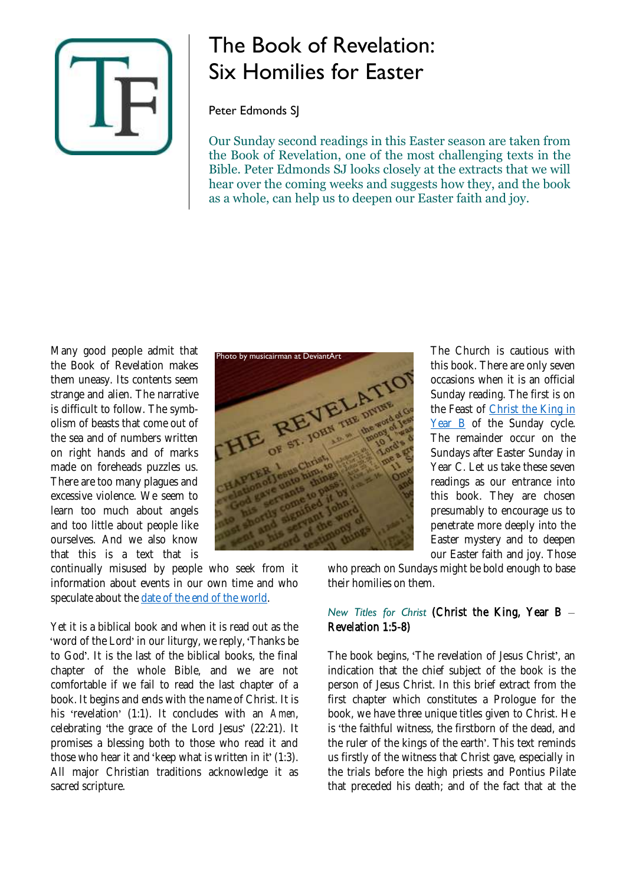

# The Book of Revelation: Six Homilies for Easter

Peter Edmonds SJ

Our Sunday second readings in this Easter season are taken from the Book of Revelation, one of the most challenging texts in the Bible. Peter Edmonds SJ looks closely at the extracts that we will hear over the coming weeks and suggests how they, and the book as a whole, can help us to deepen our Easter faith and joy.

Many good people admit that the Book of Revelation makes them uneasy. Its contents seem strange and alien. The narrative is difficult to follow. The symbolism of beasts that come out of the sea and of numbers written on right hands and of marks made on foreheads puzzles us. There are too many plagues and excessive violence. We seem to learn too much about angels and too little about people like ourselves. And we also know that this is a text that is

continually misused by people who seek from it information about events in our own time and who speculate about the [date of the end of the world.](https://www.thinkingfaith.org/articles/20111215_1.htm)

Yet it is a biblical book and when it is read out as the 'word of the Lord' in our liturgy, we reply, 'Thanks be to God'. It is the last of the biblical books, the final chapter of the whole Bible, and we are not comfortable if we fail to read the last chapter of a book. It begins and ends with the name of Christ. It is his 'revelation' (1:1). It concludes with an *Amen*, celebrating 'the grace of the Lord Jesus' (22:21). It promises a blessing both to those who read it and those who hear it and 'keep what is written in it' (1:3). All major Christian traditions acknowledge it as sacred scripture.



The Church is cautious with this book. There are only seven occasions when it is an official Sunday reading. The first is on the Feast of [Christ the King in](https://www.thinkingfaith.org/articles/christ-king)  [Year B](https://www.thinkingfaith.org/articles/christ-king) of the Sunday cycle. The remainder occur on the Sundays after Easter Sunday in Year C. Let us take these seven readings as our entrance into this book. They are chosen presumably to encourage us to penetrate more deeply into the Easter mystery and to deepen our Easter faith and joy. Those

who preach on Sundays might be bold enough to base their homilies on them.

### *New Titles for Christ* (Christ the King, Year B Revelation 1:5-8)

The book begins, 'The revelation of Jesus Christ', an indication that the chief subject of the book is the person of Jesus Christ. In this brief extract from the first chapter which constitutes a Prologue for the book, we have three unique titles given to Christ. He is 'the faithful witness, the firstborn of the dead, and the ruler of the kings of the earth'. This text reminds us firstly of the witness that Christ gave, especially in the trials before the high priests and Pontius Pilate that preceded his death; and of the fact that at the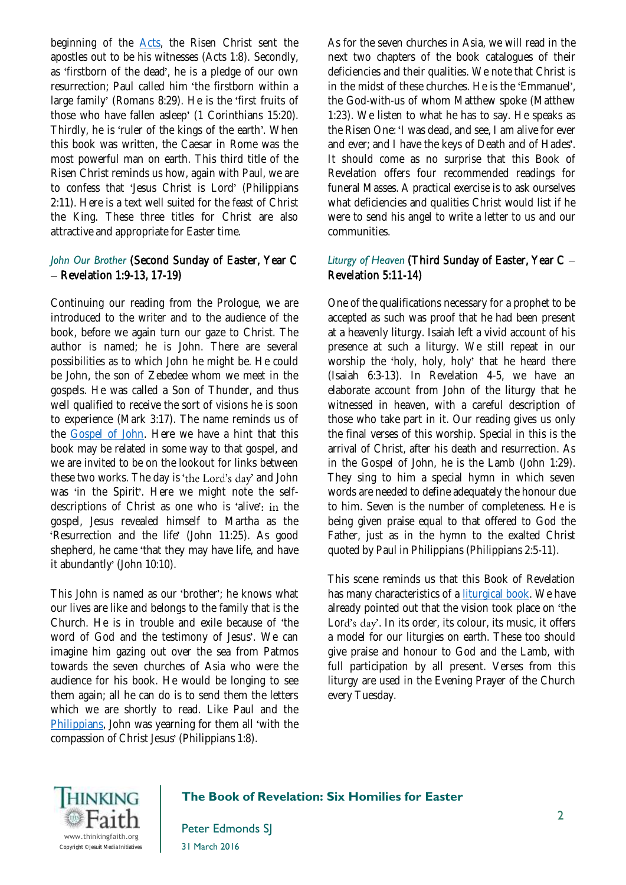beginning of the [Acts,](https://www.thinkingfaith.org/articles/20120509_1.htm) the Risen Christ sent the apostles out to be his witnesses (Acts 1:8). Secondly, as 'firstborn of the dead', he is a pledge of our own resurrection; Paul called him 'the firstborn within a large family' (Romans 8:29). He is the 'first fruits of those who have fallen asleep' (1 Corinthians 15:20). Thirdly, he is 'ruler of the kings of the earth'. When this book was written, the Caesar in Rome was the most powerful man on earth. This third title of the Risen Christ reminds us how, again with Paul, we are to confess that 'Jesus Christ is Lord' (Philippians 2:11). Here is a text well suited for the feast of Christ the King. These three titles for Christ are also attractive and appropriate for Easter time.

## *John Our Brother* (Second Sunday of Easter, Year C  $-$  Revelation 1:9-13, 17-19)

Continuing our reading from the Prologue, we are introduced to the writer and to the audience of the book, before we again turn our gaze to Christ. The author is named; he is John. There are several possibilities as to which John he might be. He could be John, the son of Zebedee whom we meet in the gospels. He was called a Son of Thunder, and thus well qualified to receive the sort of visions he is soon to experience (Mark 3:17). The name reminds us of the [Gospel of John.](https://www.thinkingfaith.org/articles/story-theology-and-drama-gospel-john) Here we have a hint that this book may be related in some way to that gospel, and we are invited to be on the lookout for links between these two works. The day is 'the Lord's day' and John was 'in the Spirit'. Here we might note the selfdescriptions of Christ as one who is 'alive': in the gospel, Jesus revealed himself to Martha as the 'Resurrection and the life' (John 11:25). As good shepherd, he came 'that they may have life, and have it abundantly' (John 10:10).

This John is named as our 'brother': he knows what our lives are like and belongs to the family that is the Church. He is in trouble and exile because of the word of God and the testimony of Jesus'. We can imagine him gazing out over the sea from Patmos towards the seven churches of Asia who were the audience for his book. He would be longing to see them again; all he can do is to send them the letters which we are shortly to read. Like Paul and the [Philippians,](https://www.thinkingfaith.org/articles/20090302_2.htm) John was yearning for them all 'with the compassion of Christ Jesus' (Philippians 1:8).

As for the seven churches in Asia, we will read in the next two chapters of the book catalogues of their deficiencies and their qualities. We note that Christ is in the midst of these churches. He is the 'Emmanuel', the God-with-us of whom Matthew spoke (Matthew 1:23). We listen to what he has to say. He speaks as the Risen One: 'I was dead, and see, I am alive for ever and ever; and I have the keys of Death and of Hades'. It should come as no surprise that this Book of Revelation offers four recommended readings for funeral Masses. A practical exercise is to ask ourselves what deficiencies and qualities Christ would list if he were to send his angel to write a letter to us and our communities.

## *Liturgy of Heaven* (Third Sunday of Easter, Year C Revelation 5:11-14)

One of the qualifications necessary for a prophet to be accepted as such was proof that he had been present at a heavenly liturgy. Isaiah left a vivid account of his presence at such a liturgy. We still repeat in our worship the 'holy, holy, holy' that he heard there (Isaiah 6:3-13). In Revelation 4-5, we have an elaborate account from John of the liturgy that he witnessed in heaven, with a careful description of those who take part in it. Our reading gives us only the final verses of this worship. Special in this is the arrival of Christ, after his death and resurrection. As in the Gospel of John, he is the Lamb (John 1:29). They sing to him a special hymn in which seven words are needed to define adequately the honour due to him. Seven is the number of completeness. He is being given praise equal to that offered to God the Father, just as in the hymn to the exalted Christ quoted by Paul in Philippians (Philippians 2:5-11).

This scene reminds us that this Book of Revelation has many characteristics of a [liturgical book.](https://www.thinkingfaith.org/articles/20111208_1.htm) We have already pointed out that the vision took place on 'the Lord's day'. In its order, its colour, its music, it offers a model for our liturgies on earth. These too should give praise and honour to God and the Lamb, with full participation by all present. Verses from this liturgy are used in the Evening Prayer of the Church every Tuesday.



### **The Book of Revelation: Six Homilies for Easter**

Peter Edmonds SJ 31 March 2016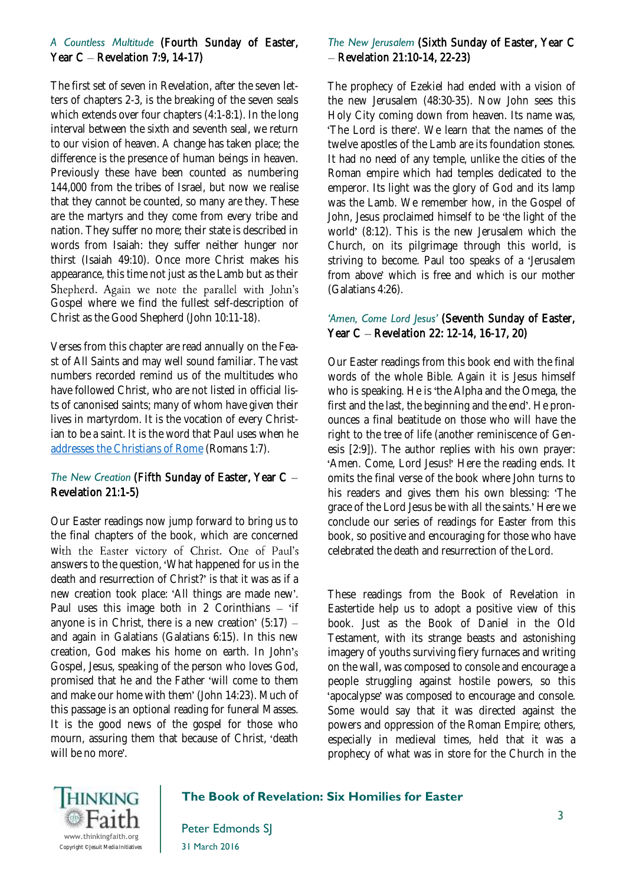### *A Countless Multitude* (Fourth Sunday of Easter, Year  $C$  – Revelation 7:9, 14-17)

The first set of seven in Revelation, after the seven letters of chapters 2-3, is the breaking of the seven seals which extends over four chapters (4:1-8:1). In the long interval between the sixth and seventh seal, we return to our vision of heaven. A change has taken place; the difference is the presence of human beings in heaven. Previously these have been counted as numbering 144,000 from the tribes of Israel, but now we realise that they cannot be counted, so many are they. These are the martyrs and they come from every tribe and nation. They suffer no more; their state is described in words from Isaiah: they suffer neither hunger nor thirst (Isaiah 49:10). Once more Christ makes his appearance, this time not just as the Lamb but as their Shepherd. Again we note the parallel with John's Gospel where we find the fullest self-description of Christ as the Good Shepherd (John 10:11-18).

Verses from this chapter are read annually on the Feast of All Saints and may well sound familiar. The vast numbers recorded remind us of the multitudes who have followed Christ, who are not listed in official lists of canonised saints; many of whom have given their lives in martyrdom. It is the vocation of every Christian to be a saint. It is the word that Paul uses when he [addresses the Christians of Rome](https://www.thinkingfaith.org/articles/saints-rome) (Romans 1:7).

### *The New Creation* (Fifth Sunday of Easter, Year C Revelation 21:1-5)

Our Easter readings now jump forward to bring us to the final chapters of the book, which are concerned with the Easter victory of Christ. One of Paul's answers to the question, What happened for us in the death and resurrection of Christ? is that it was as if a new creation took place: 'All things are made new'. Paul uses this image both in 2 Corinthians  $-$  'if anyone is in Christ, there is a new creation'  $(5:17)$  and again in Galatians (Galatians 6:15). In this new creation, God makes his home on earth. In John Gospel, Jesus, speaking of the person who loves God, promised that he and the Father 'will come to them and make our home with them' (John 14:23). Much of this passage is an optional reading for funeral Masses. It is the good news of the gospel for those who mourn, assuring them that because of Christ, 'death will be no more'.

### *The New Jerusalem* (Sixth Sunday of Easter, Year C  $-$  Revelation 21:10-14, 22-23)

The prophecy of Ezekiel had ended with a vision of the new Jerusalem (48:30-35). Now John sees this Holy City coming down from heaven. Its name was, 'The Lord is there'. We learn that the names of the twelve apostles of the Lamb are its foundation stones. It had no need of any temple, unlike the cities of the Roman empire which had temples dedicated to the emperor. Its light was the glory of God and its lamp was the Lamb. We remember how, in the Gospel of John, Jesus proclaimed himself to be the light of the world' (8:12). This is the new Jerusalem which the Church, on its pilgrimage through this world, is striving to become. Paul too speaks of a 'Jerusalem' from above' which is free and which is our mother (Galatians 4:26).

### *'Amen, Come Lord Jesus'* (Seventh Sunday of Easter, Year C - Revelation 22: 12-14, 16-17, 20)

Our Easter readings from this book end with the final words of the whole Bible. Again it is Jesus himself who is speaking. He is 'the Alpha and the Omega, the first and the last, the beginning and the end'. He pronounces a final beatitude on those who will have the right to the tree of life (another reminiscence of Genesis [2:9]). The author replies with his own prayer: 'Amen. Come, Lord Jesus!' Here the reading ends. It omits the final verse of the book where John turns to his readers and gives them his own blessing: The grace of the Lord Jesus be with all the saints.' Here we conclude our series of readings for Easter from this book, so positive and encouraging for those who have celebrated the death and resurrection of the Lord.

These readings from the Book of Revelation in Eastertide help us to adopt a positive view of this book. Just as the Book of Daniel in the Old Testament, with its strange beasts and astonishing imagery of youths surviving fiery furnaces and writing on the wall, was composed to console and encourage a people struggling against hostile powers, so this 'apocalypse' was composed to encourage and console. Some would say that it was directed against the powers and oppression of the Roman Empire; others, especially in medieval times, held that it was a prophecy of what was in store for the Church in the



#### **The Book of Revelation: Six Homilies for Easter**

Peter Edmonds SJ 31 March 2016